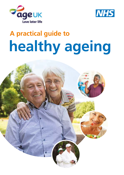



# **healthy ageing A practical guide to**

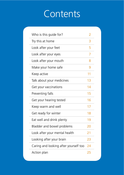### **Contents**

| Who is this guide for?                | $\mathcal{P}$ |
|---------------------------------------|---------------|
| Try this at home                      | 3             |
| Look after your feet                  | 5             |
| Look after your eyes                  | 7             |
| Look after your mouth                 | 8             |
| Make your home safe                   | 9             |
| Keep active                           | 11            |
| Talk about your medicines             | 13            |
| Get your vaccinations                 | 14            |
| Preventing falls                      | 15            |
| Get your hearing tested               | 16            |
| Keep warm and well                    | 17            |
| Get ready for winter                  | 18            |
| Eat well and drink plenty             | 19            |
| Bladder and bowel problems            | 20            |
| Look after your mental health         | 21            |
| Looking after your brain              | 23            |
| Caring and looking after yourself too | 24            |
| Action plan                           | 25            |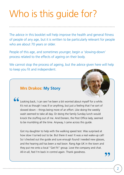## Who is this guide for?

The advice in this booklet will help improve the health and general fitness of people of any age, but it is written to be particularly relevant for people who are about 70 years or older.

People of this age, and sometimes younger, begin a 'slowing-down' process related to the effects of ageing on their body.

We cannot stop the process of ageing, but the advice given here will help to keep you fit and independent.



#### **Mrs Drakos: My Story**

Looking back, I can see I've been a bit worried about myself for a while. It's not as though I was ill or anything, but just a feeling that I've sort of slowed down – things being more of an effort. Like doing the weekly wash seemed to take all day. Or doing the family Sunday lunch would knock the stuffing out of me. And Doreen, the Post Office lady, seemed to be mumbling all the time. Anyway, I came across this guide. **''**

Got my daughter to help with the walking speed test. Was surprised at how slow I turned out to be. But there it was! It was a real wake-up call! So I checked out the guide and sure enough found I needed new glasses, and the hearing aid has been a real boon. Rang Age UK in the town and they put me onto a local "Get Fit" group. Love the company and chat. All-in-all, feel I'm back in control again. Thank goodness. **''**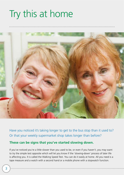### Try this at home



Have you noticed it's taking longer to get to the bus stop than it used to? Or that your weekly supermarket shop takes longer than before?

#### **These can be signs that you've started slowing down.**

If you've noticed you're a little slower than you used to be, or even if you haven't, you may want to try the simple test opposite which will let you know if the 'slowing-down' process of later life is affecting you. It is called the Walking Speed Test. You can do it easily at home. All you need is a tape measure and a watch with a second hand or a mobile phone with a stopwatch function.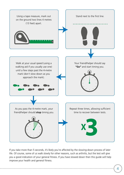

If you take more than 5 seconds, it's likely you're affected by the slowing-down process of later life. Of course, some of us walk slowly for other reasons, such as arthritis, but the test will give you a good indication of your general fitness. If you have slowed down then this guide will help improve your health and general fitness.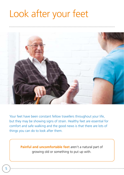### Look after your feet



Your feet have been constant fellow travellers throughout your life, but they may be showing signs of strain. Healthy feet are essential for comfort and safe walking and the good news is that there are lots of things you can do to look after them.

> **Painful and uncomfortable feet** aren't a natural part of growing old or something to put up with.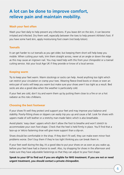### **A lot can be done to improve comfort, relieve pain and maintain mobility.**

#### **Wash your feet often**

Wash your feet daily to help prevent any infections. If you leave dirt on the skin, it can become irritated and infected. Dry them well, especially between the toes to help prevent Athlete's foot. If you have some hard skin, apply moisturising foot cream (not body lotion).

#### **Toenails**

It can get harder to cut toenails as you get older, but keeping them short will help keep you mobile. When cutting your nails, trim them straight across, never at an angle or down the edge as this may cause an ingrown nail. You may need help with this from your chiropodist or a toenail cutting service. Ask your local Age UK if they provide or know of a local service.

#### **Keeping warm**

Try to keep your feet warm. Warm stockings or socks can help. Avoid anything too tight which can restrict your circulation or cramp your toes. Wearing fleece-lined boots or shoes or even an extra pair of socks will keep you warm but make sure your shoes aren't too tight as a result. Bed socks are also a good idea when the weather is particularly cold.

If your feet are cold, don't try and warm them up by putting them close to a fire or on a hot radiator as this risks chilblains.

#### **Choosing the best footwear**

If your shoes fit well they protect and support your feet and may improve your balance and stability. Poorly-fitting shoes or slippers can easily trip you up and cause a fall. Look for shoes with uppers made of soft leather or a stretchy man-made fabric which is also breathable.

Avoid plastic 'easy clean' uppers which don't allow the foot to breathe and won't stretch to accommodate your own foot shape. Check that the heel is held firmly in place. You'll find that a lace-up or Velcro fastening shoe will give more support than a slip-on.

Shoes should be comfortable in the shop. If they don't fit well, they can make even minor foot problems worse. Don't buy them if they're too tight thinking you can break them in.

If your feet swell during the day, it's a good idea to put your shoes on as soon as you wake up, before your feet have had a chance to swell. Also, try shopping for shoes in the afternoon and make sure they have adjustable fastenings so that they can adjust to your foot shape.

**Speak to your GP to find out if you are eligible for NHS treatment. If you are not or need urgent treatment, you should contact a private chiropodist.**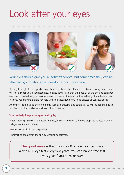### Look after your eyes

![](_page_7_Picture_1.jpeg)

Your eyes should give you a lifetime's service, but sometimes they can be affected by conditions that develop as you grow older.

It's easy to neglect your eyes because they rarely hurt when there's a problem. Having an eye test will not only tell you if you need new glasses, it will also check the health of the eye and can spot eye conditions before you become aware of them so they can be treated early. If you have a low income, you may be eligible for help with the cost should you need glasses or contact lenses.

An eye test can pick up eye conditions, such as glaucoma and cataracts, as well as general health problems, such as diabetes and high blood pressure.

#### **You can help keep your eyes healthy by:**

- not smoking smoking damages the eye, making it more likely to develop age-related macular degeneration and cataracts
- eating lots of fruit and vegetables
- protecting them from the sun by wearing sunglasses.

**The good news** is that if you're 60 or over, you can have a free NHS eye test every two years. You can have a free test every year if you're 70 or over.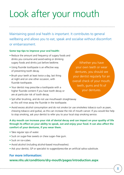# Look after your mouth

Maintaining good oral health is important. It contributes to general wellbeing and allows you to eat, speak and socialise without discomfort or embarrassment.

#### **Some top tips to improve your oral health:**

- Reduce the amount and frequency of sugary foods and drinks you consume and avoid eating or drinking sugary foods and drinks just before bedtime.
- Using fluoride toothpaste is an effective way of preventing tooth decay.
- Brush your teeth at least twice a day, last thing at night and on one other occasion, with fluoride toothpaste.
- Your dentist may prescribe a toothpaste with a higher fluoride content if you have tooth decay or are at particular risk of tooth decay.
- Spit after brushing, and do not use mouthwash straightaway as this will rinse away the fluoride in the toothpaste.

Whether you have your own teeth or wear dentures, you should see your dentist regularly for an overall check of your mouth, teeth, gums and fit of your dentures.

• Avoid excess alcohol consumption and do not smoke (or use smokeless tobacco such as paan, chewing tobacco and gutka), as this can increase the risk of mouth cancer. If you would like help to stop smoking, ask your dentist to refer you to your local stop smoking service.

#### **A dry mouth can increase your risk of dental decay and can impact on your quality of life through its effect on your ability to speak, eat and enjoy your food. It can also affect the comfort of your dentures, if you wear them.**

- Take regular sips of water.
- Suck on sugar-free sweets or chew sugar–free gum.
- Suck on ice-cubes.
- Avoid alcohol (including alcohol-based mouthwashes).
- Ask your dentist, GP or specialist to suggest/prescribe an artificial saliva substitute.

#### **For more information:**

#### **[www.nhs.uk/conditions/dry-mouth/pages/introduction.aspx](http://www.nhs.uk/conditions/dry-mouth/pages/introduction.aspx)**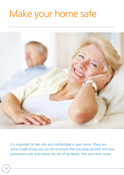### Make your home safe

![](_page_9_Picture_1.jpeg)

It is important to feel safe and comfortable in your home. There are some simple things you can do to ensure that you keep yourself and your possessions safe and reduce the risk of accidents, fires and other issues.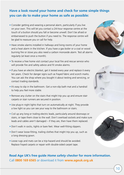#### **Have a look round your home and check for some simple things you can do to make your home as safe as possible:**

- Consider getting and wearing a personal alarm, particularly if you live on your own. This will let you contact a 24-hour response centre at the touch of a button should you fall or become unwell. Don't be afraid or embarrassed to push the button if you need to. The response centre will be glad to reassure you or call for help.
- Have smoke alarms installed in hallways and living rooms of your home and a heat alarm in the kitchen. If you have a gas boiler or a coal or wood burning fire or stove you also need a carbon monoxide alarm. Test all alarms regularly (at least once a month).
- To receive a free home visit contact your local fire and rescue service who will provide fire and safety advice and fit smoke alarms.
- If you have an electric blanket, get it tested every year and replace it every ten years. Check for danger signs such as frayed fabric and scorch marks. You can ask the shop where you bought it about testing and servicing, or contact trading standards.
- It's easy to slip in the bathroom. Get a non-slip bath mat and a handrail to help you feel more stable.
- Remove any clutter on the stairs that might trip you up and ensure stair carpets or stair runners are secured in position.
- Use plug-in night lights that turn on automatically at night. They provide a low light so you can see your way to the bathroom or stairs.
- Coil up any long or trailing electric leads, particularly around doorways or stairs, or tape them close to the wall. Don't overload sockets and make sure leads and cables aren't damaged – if they are, then have them replaced.
- Don't walk in socks, tights or bare feet. Wear well-fitting slippers.
- Don't wear loose-fitting, trailing clothes that might trip you up, such as a long dressing gown.
- Loose rugs and mats can be a trip-hazard and should be avoided. Replace frayed carpets or repair with double-sided carpet tape.

#### **Read Age UK's free guide** *Home safety checker* **for more information.** Call **[0800 169 6565](tel:+08001696565)** or download it from **[www.ageuk.org.uk](http://www.ageuk.org.uk)**

![](_page_10_Picture_13.jpeg)

![](_page_10_Picture_14.jpeg)

![](_page_10_Picture_15.jpeg)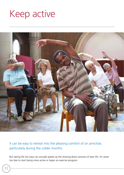### Keep active

![](_page_11_Picture_1.jpeg)

It can be easy to retreat into the pleasing comfort of an armchair, particularly during the colder months.

But taking life too easy can actually speed up the slowing-down process of later life. It's never too late to start being more active or begin an exercise program.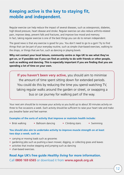### **Keeping active is the key to staying fit, mobile and independent.**

Regular exercise can help reduce the impact of several diseases, such as osteoporosis, diabetes, high blood pressure, heart disease and stroke. Regular exercise can also reduce arthritis-related pain, improve sleep, prevent falls and fractures, and improve low mood and memory. In fact, taking regular exercise is one of the best things you can do to remain independent.

The good news is that any exercise is good for you. You don't need to go to a gym! Try to find things that can be part of your everyday routine, such as simple chair-based exercises, walking to the shops, or things that are fun, such as dancing or playing bowls.

**Why not contact your local leisure, community centre or Age UK to see what they've got on, or if possible see if you can find an activity to do with friends or other people, such as walking and dancing. This is especially important if you are finding that you are spending a lot of time on your own.**

**If you haven't been very active,** you should aim to minimise the amount of time spent sitting down for extended periods. You could do this by reducing the time you spend watching TV, taking regular walks around the garden or street, or swapping a bus or car journey for walking part of the way.

Your next aim should be to increase your activity so you build up to about 30 minutes activity on three to five occasions a week. Each activity should be sufficient to raise your heart rate and make you breathe faster and feel warmer.

#### **Examples of the sorts of activity that improve or maintain health include:**

• Brisk walking • Ballroom dancing • Climbing stairs • Swimming

#### **You should also aim to undertake activity to improve muscle strength on at least two days a week, such as:**

- carrying or moving loads such as groceries
- gardening jobs such as pushing a lawn mower, digging, or collecting grass and leaves
- activities that involve stepping and jumping such as dancing
- chair-based exercises.

#### **Read Age UK's free guide** *Healthy living* **for more information.** Call **[0800 169 6565](tel:+4408001696565)** or download it from **[www.ageuk.org.uk](http://www.ageuk.org.uk)**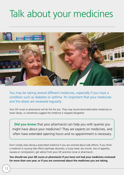### Talk about your medicines

![](_page_13_Picture_1.jpeg)

You may be taking several different medicines, especially if you have a condition such as diabetes or asthma. It's important that your medicines and the doses are reviewed regularly.

Your GP, nurse or pharmacist will do this for you. They may recommend alternative medicines or lower doses, or sometimes suggest the medicine is stopped altogether.

**Did you know** that your pharmacist can help you with queries you might have about your medicines? They are experts on medicines, and often have extended opening hours and no appointment is necessary.

Don't simply stop taking a prescribed medicine if you are worried about side effects. If you think a medicine is causing side effects (perhaps dizziness, a fuzzy head, dry mouth, loss of appetite, nausea or constipation), get advice from your GP, practice nurse or pharmacist.

**You should see your GP, nurse or pharmacist if you have not had your medicines reviewed for more than one year, or if you are concerned about the medicines you are taking.**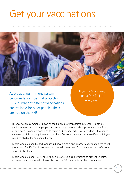### Get your vaccinations

As we age, our immune system becomes less efficient at protecting us. A number of different vaccinations are available for older people. These are free on the NHS.

If you're 65 or over, get a free flu jab every year.

- Flu vaccination, commonly known as the flu jab, protects against influenza. Flu can be particularly serious in older people and cause complications such as pneumonia. It is free to people aged 65 and over and also to carers and younger adults with conditions that make them susceptible to complications if they have flu. So ask at your GP service if you think you could be eligible for an annual flu jab.
- People who are aged 65 and over should have a single pneumococcal vaccination which will protect you for life. This is a one-off jab that will protect you from pneumococcal infections caused by bacteria.
- People who are aged 70, 78 or 79 should be offered a single vaccine to prevent shingles, a common and painful skin disease. Talk to your GP practice for further information.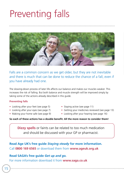### Preventing falls

![](_page_15_Picture_1.jpeg)

Falls are a common concern as we get older, but they are not inevitable and there is much that can be done to reduce the chance of a fall, even if you have already had one.

The slowing-down process of later life affects our balance and makes our muscles weaker. This increases the risk of falling. But both balance and muscle strength will be improved simply by taking some of the actions already described in this guide.

#### **Preventing falls**

- Looking after your feet (see page 5) Staying active (see page 11)
- 
- 
- 
- Looking after your eyes (see page 7) Getting your medicines reviewed (see page 13)
- Making your home safe (see page 9) Looking after your hearing (see page 16)

#### **So each of these actions has a double benefit. All the more reason to consider them!**

**Dizzy spells** or faints can be related to too much medication and should be discussed with your GP or pharmacist.

**Read Age UK's free guide** *Staying steady* **for more information.** Call **[0800 169 6565](tel:+4408001696565)** or download them from **[www.ageuk.org.uk](http://www.ageuk.org.uk)**

#### **Read SAGA's free guide** *Get up and go.*

For more information download it from **[www.saga.co.uk](http://www.saga.co.uk)**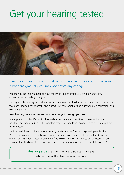### Get your hearing tested

![](_page_16_Picture_1.jpeg)

#### Losing your hearing is a normal part of the ageing process, but because it happens gradually you may not notice any change.

You may realise that you need to have the TV on louder or find you can't always follow conversations, especially in a group.

Having trouble hearing can make it hard to understand and follow a doctor's advice, to respond to warnings, and to hear doorbells and alarms. This can sometimes be frustrating, embarrassing, and even dangerous.

#### **NHS hearing tests are free and can be arranged through your GP.**

It is important to identify hearing loss early as treatment is more likely to be effective when problems are diagnosed early. The problem may be as simple as earwax, which after removal can restore hearing.

To do a quick hearing check before seeing your GP, use the free hearing check provided by Action on Hearing Loss. It only takes five minutes and you can do it at home either by phone ([0844 800 3838](tel:+4408448003838) (local rate), or online for free [\(www.actiononhearingloss.org.uk/hearingcheck\)](http://www.actiononhearingloss.org.uk/hearingcheck). This check will indicate if you have hearing loss. If you have any concerns, speak to your GP.

> **Hearing aids** are much more discrete than ever before and will enhance your hearing.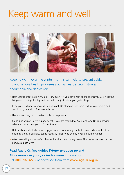### Keep warm and well

![](_page_17_Picture_1.jpeg)

Keeping warm over the winter months can help to prevent colds, flu and serious health problems such as heart attacks, strokes, pneumonia and depression.

- Heat your rooms to a minimum of 18°C (65°F). If you can't heat all the rooms you use, heat the living room during the day and the bedroom just before you go to sleep.
- Keep your bedroom window closed at night. Breathing in cold air is bad for your health and could put you at risk of a chest infection.
- Use a wheat bag or hot water bottle to keep warm.
- Make sure you are receiving any benefits you are entitled to. Your local Age UK can provide advice and even help you to fill out forms.
- Hot meals and drinks help to keep you warm, so have regular hot drinks and eat at least one hot meal a day if possible. Eating regularly helps keep energy levels up during winter.
- Wear several light layers of clothes (rather than one chunky layer). Thermal underwear can be good as a base layer.

#### **Read Age UK's free guides** *Winter wrapped up* **and** *More money in your pocket* **for more information.** Call **[0800 169 6565](tel:+4408001696565)** or download them from **[www.ageuk.org.uk](http://www.ageuk.org.uk)**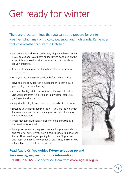### Get ready for winter

There are practical things that you can do to prepare for winter weather, which may bring cold, ice, snow and high winds. Remember that cold weather can start in October.

- Icy pavements and roads can be very slippery. Take extra care if you go out and wear boots or shoes with good grip on the soles. Rubber snow/ice grips that attach to outdoor shoes are very effective.
- Consider fitting a grab rail if you have steps at your front or back door.
- Have your heating system serviced before winter arrives.
- Have some food supplies in a cupboard or freezer in case you can't go out for a few days.
- Ask your family, neighbours or friends if they could call or visit you more often if a period of cold weather stops you getting out and about.
- Keep simple cold, flu and sore throat remedies in the house.
- Speak to your friends, family or carer if you are feeling under the weather, down or need some practical help. They may be able to help you.
- Order repeat prescriptions in plenty of time, particularly if bad weather is forecast.
- Local pharmacists can help you manage long-term conditions and can offer advice if you have a bad cough, a cold or a sore throat. They have longer opening hours than GP practices, and most have a private consultation area. They'll also tell you if they think you should see a doctor.

#### **Read Age UK's free guides** *Winter wrapped up* **and** *Save energy, pay less* **for more information.** Call **[0800 169 6565](tel:+4408001696565)** or download them from **[www.ageuk.org.uk](http://www.ageuk.org.uk)**

![](_page_18_Picture_12.jpeg)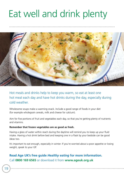### Eat well and drink plenty

![](_page_19_Picture_1.jpeg)

Hot meals and drinks help to keep you warm, so eat at least one hot meal each day and have hot drinks during the day, especially during cold weather.

Wholesome soups make a warming snack. Include a good range of foods in your diet (for example wholegrain cereals, milk and cheese for calcium).

Aim for five portions of fruit and vegetables each day, so that you're getting plenty of nutrients and vitamins.

#### **Remember that frozen vegetables are as good as fresh.**

Having a glass of water within reach during the daytime will remind you to keep up your fluid intake. Having a hot drink before bed and keeping one in a flask by your bedside can be good ideas too.

It's important to eat enough, especially in winter. If you're worried about a poor appetite or losing weight, speak to your GP.

#### **Read Age UK's free guide** *Healthy eating* **for more information.** Call **[0800 169 6565](tel:+4408001696565)** or download it from **[www.ageuk.org.uk](http://www.ageuk.org.uk)**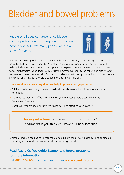### Bladder and bowel problems

People of all ages can experience bladder control problems – including over 2.5 million people over 60 – yet many people keep it a secret for years.

![](_page_20_Picture_2.jpeg)

Bladder and bowel problems are not an inevitable part of ageing, or something you have to put up with. Start by talking to your GP. Symptoms such as frequency, urgency, not getting to the toilet quickly enough, or having to get up at night to pass urine are common so there's no need to feel embarrassed. Your doctor will assess your symptoms, identify the cause, and discuss what treatments or exercises may help. Or you could refer yourself directly to your local NHS continence service for an assessment, where a continence adviser can help you.

#### **There are things you can try that may help improve your symptoms too.**

- Drink normally, as cutting down on liquids will usually make urinary incontinence worse, not better.
- If you notice that tea, coffee and cola make your symptoms worse, cut down or try decaffeinated versions.
- Check whether any medicines you're taking could be affecting your bladder.

**Urinary infections** can be serious. Consult your GP or pharmacist if you think you have a urinary infection.

Symptoms include needing to urinate more often, pain when urinating, cloudy urine or blood in your urine, an unusually unpleasant smell, or back or groin pain.

#### **Read Age UK's free guide** *Bladder and bowel problems* **for more information.**

Call **[0800 169 6565](tel:+4408001696565)** or download it from **[www.ageuk.org.uk](http://www.ageuk.org.uk)**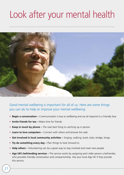### Look after your mental health

![](_page_21_Picture_1.jpeg)

Good mental wellbeing is important for all of us. Here are some things you can do to help or improve your mental wellbeing:

- **Begin a conversation** Communication is key to wellbeing and we all respond to a friendly face
- **Invite friends for tea** Make time for friends
- **Keep in touch by phone** The next best thing to catching up in person
- **Learn to love computers** Connect with others and browse the web
- **Get involved in local community activities** Singing, walking, book clubs, bridge, bingo
- **Try do something every day** Plan things to look forward to
- **Help others** Volunteering can be a great way to stay involved and meet new people
- **Age UK's befriending services** The service works by assigning each older person a befriender, who provides friendly conversation and companionship. Ask your local Age UK if they provide this service.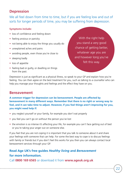#### **Depression**

We all feel down from time to time, but if you are feeling low and out of sorts for longer periods of time, you may be suffering from depression.

#### **Symptoms include:**

- loss of confidence and feeling down
- feeling anxious or panicky
- not being able to enjoy the things you usually do
- unexplained aches and pains
- avoiding people, even those you're close to
- sleeping badly
- loss of appetite
- feeling bad or guilty, or dwelling on things from the past.

With the right help you stand a very good chance of getting better, whatever age you are and however long you've felt this way.

Depression is just as significant as a physical illness, so speak to your GP and explain how you're feeling. You can then agree on the best treatment for you, such as talking to a counsellor who can help you manage your thoughts and feelings and the effect they have on you.

#### **Bereavement**

**A common trigger for depression can be bereavement. People are affected by bereavement in many different ways. Remember that there is no right or wrong way to feel, and it can take time to adjust. However, if you feel things aren't improving for you, you might need help if:**

- you neglect yourself or your family, for example you don't eat properly
- you feel you can't go on without the person you've lost
- the emotion is so intense it's affecting your life, for example you can't face getting out of bed or you're taking your anger out on someone else.

If you feel that you are not coping it is important that you talk to someone about it and share your feelings with someone that can help. For some the best way to cope is to discuss feelings with family or friends but if you don't feel this works for you then you can always contact local bereavement services through your GP.

#### **Read Age UK's free guides** *Healthy living* **and** *Bereavement* **for more information.**

Call **[0800 169 6565](tel:+4408001696565)** or download it from **[www.ageuk.org.uk](http://www.ageuk.org.uk)**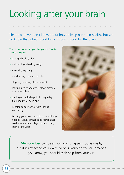# Looking after your brain

There's a lot we don't know about how to keep our brain healthy but we do know that what's good for our body is good for the brain.

#### **There are some simple things we can do. These include:**

- eating a healthy diet
- maintaining a healthy weight
- exercising regularly
- not drinking too much alcohol
- stopping smoking (if you smoke)
- making sure to keep your blood pressure at a healthy level
- getting enough sleep, including a day time nap if you need one
- keeping socially active with friends and family
- keeping your mind busy: learn new things; hobbies; volunteering; clubs; gardening; read books; attend plays; solve puzzles; learn a language

![](_page_23_Picture_12.jpeg)

**Memory loss** can be annoying if it happens occasionally, but if it's affecting your daily life or is worrying you or someone you know, you should seek help from your GP.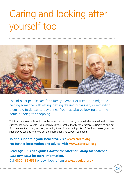# Caring and looking after yourself too

![](_page_24_Picture_1.jpeg)

Lots of older people care for a family member or friend; this might be helping someone with eating, getting dressed or washed, or reminding them how to do day-to-day things. You may also be looking after the home or doing the shopping.

This is an important role which can be tough, and may affect your physical or mental health. Make sure you look after yourself. You should ask your local authority for a carers assessment to find out if you are entitled to any support, including time off from caring. Your GP or local carers group can support you too and help you get the information and support you need.

#### **To find support in your local area, visit [www.carers.org](http://www.carers.org) For further information and advice, visit [www.carersuk.org](http://www.carersuk.org)**

**Read Age UK's free guides** *Advice for carers* **or** *Caring for someone with dementia* **for more information.**

Call **[0800 169 6565](tel:+4408001696565)** or download it from **[www.ageuk.org.uk](http://www.ageuk.org.uk)**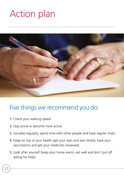### Action plan

![](_page_25_Picture_1.jpeg)

### Five things we recommend you do:

- **1.** Check your walking speed.
- **2.** Stay active or become more active.
- **3.** Socialise regularly, spend time with other people and have regular chats.
- **4.** Keep on top of your health (get your eyes and ears tested, have your vaccinations and get your medicines reviewed).
- **5.** Look after yourself (keep your home warm, eat well and don't put off asking for help).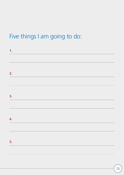### Five things I am going to do:

| 1. |  |  |  |
|----|--|--|--|
|    |  |  |  |
|    |  |  |  |
| 2. |  |  |  |
|    |  |  |  |
|    |  |  |  |
| 3. |  |  |  |
|    |  |  |  |
|    |  |  |  |
| 4. |  |  |  |
|    |  |  |  |
|    |  |  |  |
| 5. |  |  |  |
|    |  |  |  |